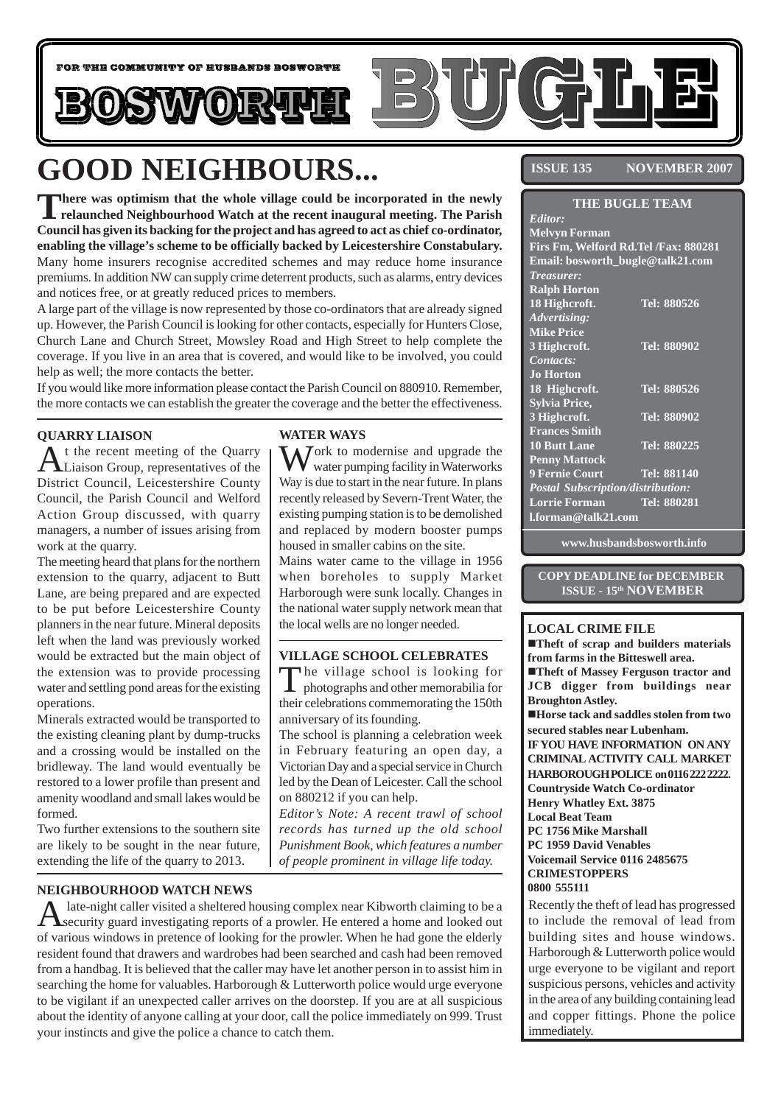

# **GOOD NEIGHBOURS...**

There was optimism that the whole village could be incorporated in the newly<br>
relaunched Neighbourhood Watch at the recent inaugural meeting. The Parish **Council has given its backing for the project and has agreed to act as chief co-ordinator, enabling the village's scheme to be officially backed by Leicestershire Constabulary.** Many home insurers recognise accredited schemes and may reduce home insurance premiums. In addition NW can supply crime deterrent products, such as alarms, entry devices and notices free, or at greatly reduced prices to members.

A large part of the village is now represented by those co-ordinators that are already signed up. However, the Parish Council is looking for other contacts, especially for Hunters Close, Church Lane and Church Street, Mowsley Road and High Street to help complete the coverage. If you live in an area that is covered, and would like to be involved, you could help as well; the more contacts the better.

If you would like more information please contact the Parish Council on 880910. Remember, the more contacts we can establish the greater the coverage and the better the effectiveness.

### **QUARRY LIAISON**

t the recent meeting of the Quarry Liaison Group, representatives of the District Council, Leicestershire County Council, the Parish Council and Welford Action Group discussed, with quarry managers, a number of issues arising from work at the quarry.

The meeting heard that plans for the northern extension to the quarry, adjacent to Butt Lane, are being prepared and are expected to be put before Leicestershire County planners in the near future. Mineral deposits left when the land was previously worked would be extracted but the main object of the extension was to provide processing water and settling pond areas for the existing operations.

Minerals extracted would be transported to the existing cleaning plant by dump-trucks and a crossing would be installed on the bridleway. The land would eventually be restored to a lower profile than present and amenity woodland and small lakes would be formed.

Two further extensions to the southern site are likely to be sought in the near future, extending the life of the quarry to 2013.

### **WATER WAYS**

 $\sum$  ork to modernise and upgrade the water pumping facility in Waterworks Way is due to start in the near future. In plans recently released by Severn-Trent Water, the existing pumping station is to be demolished and replaced by modern booster pumps housed in smaller cabins on the site.

Mains water came to the village in 1956 when boreholes to supply Market Harborough were sunk locally. Changes in the national water supply network mean that the local wells are no longer needed.

#### **VILLAGE SCHOOL CELEBRATES**

The village school is looking for photographs and other memorabilia for their celebrations commemorating the 150th anniversary of its founding.

The school is planning a celebration week in February featuring an open day, a Victorian Day and a special service in Church led by the Dean of Leicester. Call the school on 880212 if you can help.

*Editor's Note: A recent trawl of school records has turned up the old school Punishment Book, which features a number of people prominent in village life today.*

#### **NEIGHBOURHOOD WATCH NEWS**

A late-night caller visited a sheltered housing complex near Kibworth claiming to be a security guard investigating reports of a prowler. He entered a home and looked out of various windows in pretence of looking for the prowler. When he had gone the elderly resident found that drawers and wardrobes had been searched and cash had been removed from a handbag. It is believed that the caller may have let another person in to assist him in searching the home for valuables. Harborough & Lutterworth police would urge everyone to be vigilant if an unexpected caller arrives on the doorstep. If you are at all suspicious about the identity of anyone calling at your door, call the police immediately on 999. Trust your instincts and give the police a chance to catch them.

**ISSUE 135 NOVEMBER 2007** 

| <b>THE BUGLE TEAM</b>                |  |                    |
|--------------------------------------|--|--------------------|
| Editor:                              |  |                    |
| <b>Melvyn Forman</b>                 |  |                    |
| Firs Fm, Welford Rd.Tel /Fax: 880281 |  |                    |
| Email: bosworth_bugle@talk21.com     |  |                    |
| <b>Treasurer:</b>                    |  |                    |
| <b>Ralph Horton</b>                  |  |                    |
| 18 Highcroft.                        |  | Tel: 880526        |
| Advertising:                         |  |                    |
| <b>Mike Price</b>                    |  |                    |
| 3 Highcroft.                         |  | Tel: 880902        |
| Contacts:                            |  |                    |
| <b>Jo Horton</b>                     |  |                    |
| 18 Highcroft.                        |  | Tel: 880526        |
| <b>Sylvia Price,</b>                 |  |                    |
| 3 Highcroft.                         |  | Tel: 880902        |
| <b>Frances Smith</b>                 |  |                    |
| <b>10 Butt Lane</b>                  |  | Tel: 880225        |
| <b>Penny Mattock</b>                 |  |                    |
| <b>9 Fernie Court</b>                |  | <b>Tel: 881140</b> |
| Postal Subscription/distribution:    |  |                    |
| <b>Lorrie Forman</b>                 |  | Tel: 880281        |
| l.forman@talk21.com                  |  |                    |

**www.husbandsbosworth.info**

#### **COPY DEADLINE for DECEMBER ISSUE - 15th NOVEMBER**

#### **LOCAL CRIME FILE**

!**Theft of scrap and builders materials from farms in the Bitteswell area.** !**Theft of Massey Ferguson tractor and JCB digger from buildings near Broughton Astley.** !**Horse tack and saddles stolen from two secured stables near Lubenham. IF YOU HAVE INFORMATION ON ANY CRIMINAL ACTIVITY CALL MARKET HARBOROUGH POLICE on 0116 222 2222. Countryside Watch Co-ordinator Henry Whatley Ext. 3875 Local Beat Team PC 1756 Mike Marshall PC 1959 David Venables Voicemail Service 0116 2485675 CRIMESTOPPERS 0800 555111**

Recently the theft of lead has progressed to include the removal of lead from building sites and house windows. Harborough & Lutterworth police would urge everyone to be vigilant and report suspicious persons, vehicles and activity in the area of any building containing lead and copper fittings. Phone the police immediately.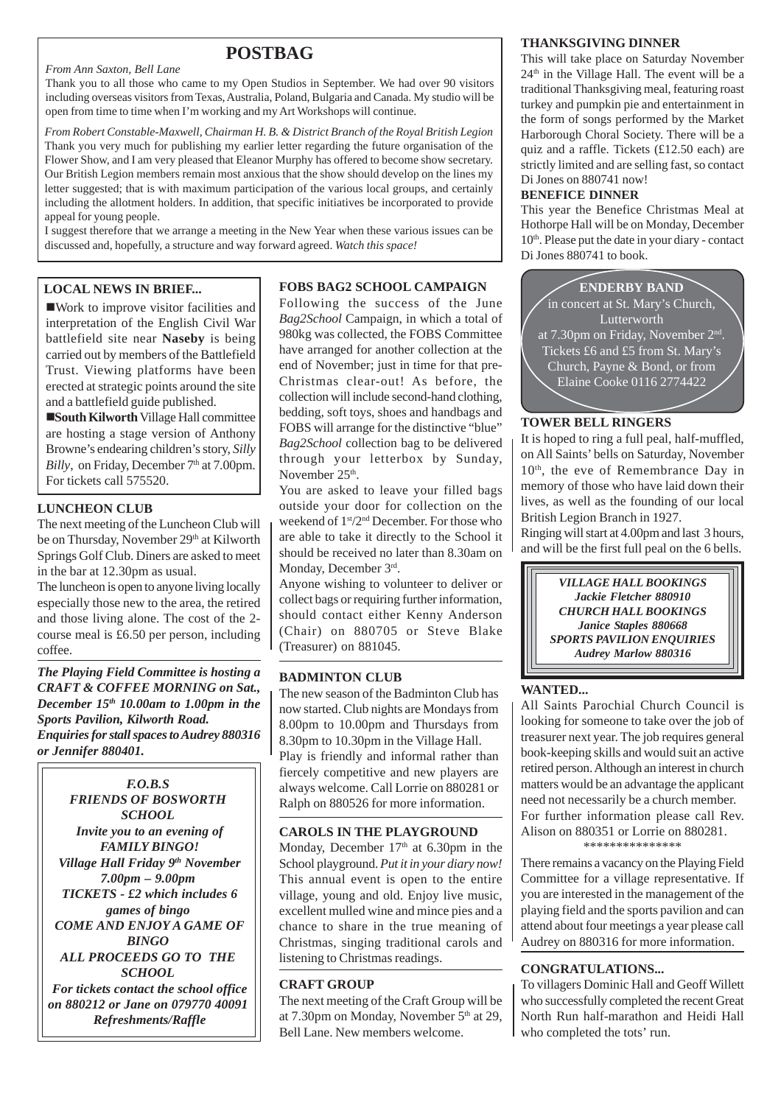# **POSTBAG**

*From Ann Saxton, Bell Lane*

Thank you to all those who came to my Open Studios in September. We had over 90 visitors including overseas visitors from Texas, Australia, Poland, Bulgaria and Canada. My studio will be open from time to time when I'm working and my Art Workshops will continue.

*From Robert Constable-Maxwell, Chairman H. B. & District Branch of the Royal British Legion* Thank you very much for publishing my earlier letter regarding the future organisation of the Flower Show, and I am very pleased that Eleanor Murphy has offered to become show secretary. Our British Legion members remain most anxious that the show should develop on the lines my letter suggested; that is with maximum participation of the various local groups, and certainly including the allotment holders. In addition, that specific initiatives be incorporated to provide appeal for young people.

I suggest therefore that we arrange a meeting in the New Year when these various issues can be discussed and, hopefully, a structure and way forward agreed. *Watch this space!*

!Work to improve visitor facilities and interpretation of the English Civil War battlefield site near **Naseby** is being carried out by members of the Battlefield Trust. Viewing platforms have been erected at strategic points around the site and a battlefield guide published.

!**South Kilworth** Village Hall committee are hosting a stage version of Anthony Browne's endearing children's story, *Silly Billy*, on Friday, December 7<sup>th</sup> at 7.00pm. For tickets call 575520.

#### **LUNCHEON CLUB**

The next meeting of the Luncheon Club will be on Thursday, November 29<sup>th</sup> at Kilworth Springs Golf Club. Diners are asked to meet in the bar at 12.30pm as usual.

The luncheon is open to anyone living locally especially those new to the area, the retired and those living alone. The cost of the 2 course meal is £6.50 per person, including coffee.

*The Playing Field Committee is hosting a CRAFT & COFFEE MORNING on Sat., December 15th 10.00am to 1.00pm in the Sports Pavilion, Kilworth Road. Enquiries for stall spaces to Audrey 880316 or Jennifer 880401.*

*F.O.B.S FRIENDS OF BOSWORTH SCHOOL Invite you to an evening of FAMILY BINGO! Village Hall Friday 9th November 7.00pm – 9.00pm TICKETS - £2 which includes 6 games of bingo COME AND ENJOY A GAME OF BINGO ALL PROCEEDS GO TO THE SCHOOL For tickets contact the school office on 880212 or Jane on 079770 40091 Refreshments/Raffle*

#### **LOCAL NEWS IN BRIEF... FOBS BAG2 SCHOOL CAMPAIGN**

Following the success of the June *Bag2School* Campaign, in which a total of 980kg was collected, the FOBS Committee have arranged for another collection at the end of November; just in time for that pre-Christmas clear-out! As before, the collection will include second-hand clothing, bedding, soft toys, shoes and handbags and FOBS will arrange for the distinctive "blue" *Bag2School* collection bag to be delivered through your letterbox by Sunday, November 25<sup>th</sup>.

You are asked to leave your filled bags outside your door for collection on the weekend of  $1<sup>st</sup>/2<sup>nd</sup>$  December. For those who are able to take it directly to the School it should be received no later than 8.30am on Monday, December 3rd.

Anyone wishing to volunteer to deliver or collect bags or requiring further information, should contact either Kenny Anderson (Chair) on 880705 or Steve Blake (Treasurer) on 881045.

#### **BADMINTON CLUB**

The new season of the Badminton Club has now started. Club nights are Mondays from 8.00pm to 10.00pm and Thursdays from 8.30pm to 10.30pm in the Village Hall. Play is friendly and informal rather than fiercely competitive and new players are always welcome. Call Lorrie on 880281 or Ralph on 880526 for more information.

#### **CAROLS IN THE PLAYGROUND**

Monday, December  $17<sup>th</sup>$  at 6.30pm in the School playground. *Put it in your diary now!* This annual event is open to the entire village, young and old. Enjoy live music, excellent mulled wine and mince pies and a chance to share in the true meaning of Christmas, singing traditional carols and listening to Christmas readings.

#### **CRAFT GROUP**

The next meeting of the Craft Group will be at 7.30pm on Monday, November  $5<sup>th</sup>$  at 29, Bell Lane. New members welcome.

#### **THANKSGIVING DINNER**

This will take place on Saturday November  $24<sup>th</sup>$  in the Village Hall. The event will be a traditional Thanksgiving meal, featuring roast turkey and pumpkin pie and entertainment in the form of songs performed by the Market Harborough Choral Society. There will be a quiz and a raffle. Tickets (£12.50 each) are strictly limited and are selling fast, so contact Di Jones on 880741 now!

#### **BENEFICE DINNER**

This year the Benefice Christmas Meal at Hothorpe Hall will be on Monday, December 10<sup>th</sup>. Please put the date in your diary - contact Di Jones 880741 to book.



#### **TOWER BELL RINGERS**

It is hoped to ring a full peal, half-muffled, on All Saints' bells on Saturday, November  $10<sup>th</sup>$ , the eve of Remembrance Day in memory of those who have laid down their lives, as well as the founding of our local British Legion Branch in 1927.

Ringing will start at 4.00pm and last 3 hours, and will be the first full peal on the 6 bells.



### **WANTED...**

All Saints Parochial Church Council is looking for someone to take over the job of treasurer next year. The job requires general book-keeping skills and would suit an active retired person. Although an interest in church matters would be an advantage the applicant need not necessarily be a church member. For further information please call Rev. Alison on 880351 or Lorrie on 880281. \*\*\*\*\*\*\*\*\*\*\*\*\*\*\*

There remains a vacancy on the Playing Field Committee for a village representative. If you are interested in the management of the playing field and the sports pavilion and can attend about four meetings a year please call Audrey on 880316 for more information.

#### **CONGRATULATIONS...**

To villagers Dominic Hall and Geoff Willett who successfully completed the recent Great North Run half-marathon and Heidi Hall who completed the tots' run.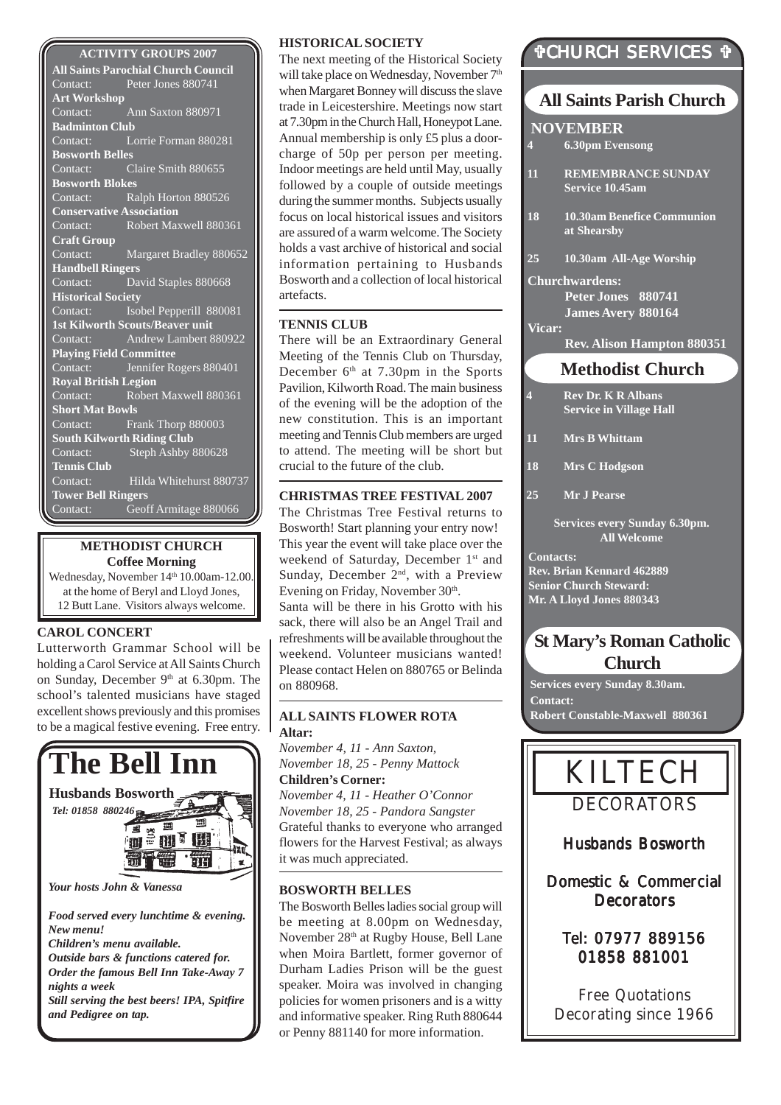#### **ACTIVITY GROUPS 2007**

**All Saints Parochial Church Council** Contact: Peter Jones 880741 **Art Workshop** Contact: Ann Saxton 880971 **Badminton Club** Contact: Lorrie Forman 880281 **Bosworth Belles** Contact: Claire Smith 880655 **Bosworth Blokes** Contact: Ralph Horton 880526 **Conservative Association**<br>Contact: Robert May Robert Maxwell 880361 **Craft Group** Contact: Margaret Bradley 880652 **Handbell Ringers** Contact: David Staples 880668 **Historical Society** Contact: Isobel Pepperill 880081 **1st Kilworth Scouts/Beaver unit** Contact: Andrew Lambert 880922 **Playing Field Committee** Contact: Jennifer Rogers 880401 **Royal British Legion** Contact: Robert Maxwell 880361 **Short Mat Bowls** Contact: Frank Thorp 880003 **South Kilworth Riding Club** Contact: Steph Ashby 880628 **Tennis Club** Contact: Hilda Whitehurst 880737 **Tower Bell Ringers** Contact: Geoff Armitage 880066

#### **METHODIST CHURCH Coffee Morning**

Wednesday, November 14th 10.00am-12.00. at the home of Beryl and Lloyd Jones, 12 Butt Lane. Visitors always welcome.

#### **CAROL CONCERT**

Lutterworth Grammar School will be holding a Carol Service at All Saints Church on Sunday, December 9<sup>th</sup> at 6.30pm. The school's talented musicians have staged excellent shows previously and this promises to be a magical festive evening. Free entry.



#### **HISTORICAL SOCIETY**

The next meeting of the Historical Society will take place on Wednesday, November 7<sup>th</sup> when Margaret Bonney will discuss the slave trade in Leicestershire. Meetings now start at 7.30pm in the Church Hall, Honeypot Lane. Annual membership is only £5 plus a doorcharge of 50p per person per meeting. Indoor meetings are held until May, usually followed by a couple of outside meetings during the summer months. Subjects usually focus on local historical issues and visitors are assured of a warm welcome. The Society holds a vast archive of historical and social information pertaining to Husbands Bosworth and a collection of local historical artefacts.

#### **TENNIS CLUB**

There will be an Extraordinary General Meeting of the Tennis Club on Thursday, December  $6<sup>th</sup>$  at 7.30pm in the Sports Pavilion, Kilworth Road. The main business of the evening will be the adoption of the new constitution. This is an important meeting and Tennis Club members are urged to attend. The meeting will be short but crucial to the future of the club.

#### **CHRISTMAS TREE FESTIVAL 2007**

The Christmas Tree Festival returns to Bosworth! Start planning your entry now! This year the event will take place over the weekend of Saturday, December 1<sup>st</sup> and Sunday, December 2<sup>nd</sup>, with a Preview Evening on Friday, November 30th. Santa will be there in his Grotto with his sack, there will also be an Angel Trail and refreshments will be available throughout the weekend. Volunteer musicians wanted! Please contact Helen on 880765 or Belinda on 880968.

#### **ALL SAINTS FLOWER ROTA Altar:**

*November 4, 11 - Ann Saxton, November 18, 25 - Penny Mattock* **Children's Corner:** *November 4, 11 - Heather O'Connor November 18, 25 - Pandora Sangster* Grateful thanks to everyone who arranged flowers for the Harvest Festival; as always it was much appreciated.

#### **BOSWORTH BELLES**

The Bosworth Belles ladies social group will be meeting at 8.00pm on Wednesday, November 28th at Rugby House, Bell Lane when Moira Bartlett, former governor of Durham Ladies Prison will be the guest speaker. Moira was involved in changing policies for women prisoners and is a witty and informative speaker. Ring Ruth 880644 or Penny 881140 for more information.

# "CHURCH SERVICES "

# **All Saints Parish Church**

- **4 6.30pm Evensong**
- **11 REMEMBRANCE SUNDAY Service 10.45am**
- **18 10.30am Benefice Communion at Shearsby**
- **25 10.30am All-Age Worship**
- **Churchwardens: Peter Jones 880741 James Avery 880164**

**Vicar:**

**Rev. Alison Hampton 880351**

# **Methodist Church**

- **4 Rev Dr. K R Albans Service in Village Hall**
- **11 Mrs B Whittam**
- **18 Mrs C Hodgson**

**25 Mr J Pearse**

**Services every Sunday 6.30pm. All Welcome**

**Contacts: Rev. Brian Kennard 462889 Senior Church Steward: Mr. A Lloyd Jones 880343**

# **St Mary's Roman Catholic Church**

**Services every Sunday 8.30am. Contact: Robert Constable-Maxwell 880361**